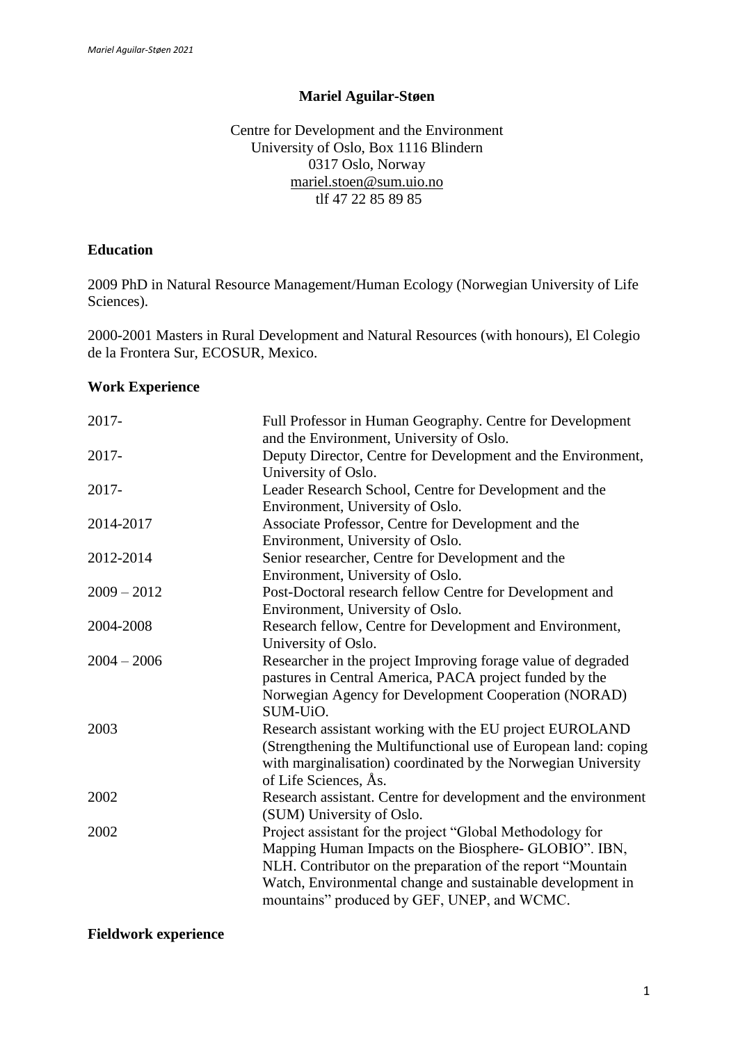### **Mariel Aguilar-Støen**

Centre for Development and the Environment University of Oslo, Box 1116 Blindern 0317 Oslo, Norway [mariel.stoen@sum.uio.no](mailto:mariel.stoen@sum.uio.no) tlf 47 22 85 89 85

#### **Education**

2009 PhD in Natural Resource Management/Human Ecology (Norwegian University of Life Sciences).

2000-2001 Masters in Rural Development and Natural Resources (with honours), El Colegio de la Frontera Sur, ECOSUR, Mexico.

#### **Work Experience**

| 2017-         | Full Professor in Human Geography. Centre for Development<br>and the Environment, University of Oslo.                                                                                                                                                                                          |
|---------------|------------------------------------------------------------------------------------------------------------------------------------------------------------------------------------------------------------------------------------------------------------------------------------------------|
| 2017-         | Deputy Director, Centre for Development and the Environment,<br>University of Oslo.                                                                                                                                                                                                            |
| $2017 -$      | Leader Research School, Centre for Development and the<br>Environment, University of Oslo.                                                                                                                                                                                                     |
| 2014-2017     | Associate Professor, Centre for Development and the<br>Environment, University of Oslo.                                                                                                                                                                                                        |
| 2012-2014     | Senior researcher, Centre for Development and the<br>Environment, University of Oslo.                                                                                                                                                                                                          |
| $2009 - 2012$ | Post-Doctoral research fellow Centre for Development and<br>Environment, University of Oslo.                                                                                                                                                                                                   |
| 2004-2008     | Research fellow, Centre for Development and Environment,<br>University of Oslo.                                                                                                                                                                                                                |
| $2004 - 2006$ | Researcher in the project Improving forage value of degraded<br>pastures in Central America, PACA project funded by the<br>Norwegian Agency for Development Cooperation (NORAD)<br>SUM-UiO.                                                                                                    |
| 2003          | Research assistant working with the EU project EUROLAND<br>(Strengthening the Multifunctional use of European land: coping<br>with marginalisation) coordinated by the Norwegian University<br>of Life Sciences, As.                                                                           |
| 2002          | Research assistant. Centre for development and the environment<br>(SUM) University of Oslo.                                                                                                                                                                                                    |
| 2002          | Project assistant for the project "Global Methodology for<br>Mapping Human Impacts on the Biosphere- GLOBIO". IBN,<br>NLH. Contributor on the preparation of the report "Mountain<br>Watch, Environmental change and sustainable development in<br>mountains" produced by GEF, UNEP, and WCMC. |

**Fieldwork experience**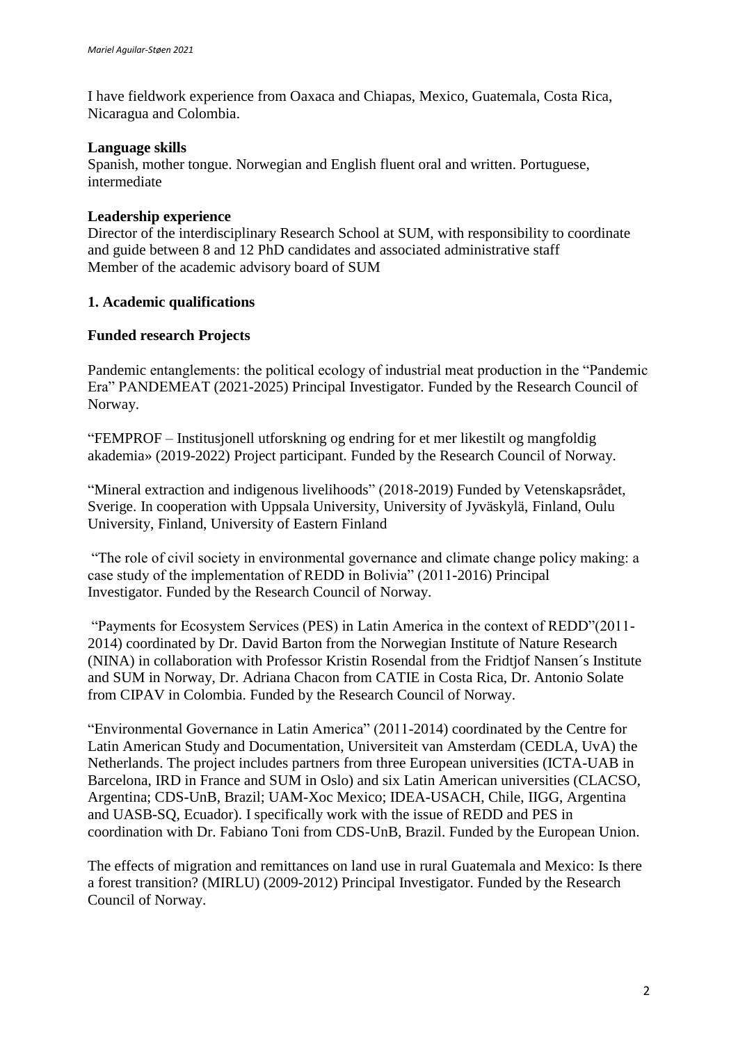I have fieldwork experience from Oaxaca and Chiapas, Mexico, Guatemala, Costa Rica, Nicaragua and Colombia.

## **Language skills**

Spanish, mother tongue. Norwegian and English fluent oral and written. Portuguese, intermediate

## **Leadership experience**

Director of the interdisciplinary Research School at SUM, with responsibility to coordinate and guide between 8 and 12 PhD candidates and associated administrative staff Member of the academic advisory board of SUM

# **1. Academic qualifications**

### **Funded research Projects**

Pandemic entanglements: the political ecology of industrial meat production in the "Pandemic Era" PANDEMEAT (2021-2025) Principal Investigator. Funded by the Research Council of Norway.

"FEMPROF – Institusjonell utforskning og endring for et mer likestilt og mangfoldig akademia» (2019-2022) Project participant. Funded by the Research Council of Norway.

"Mineral extraction and indigenous livelihoods" (2018-2019) Funded by Vetenskapsrådet, Sverige. In cooperation with Uppsala University, University of Jyväskylä, Finland, Oulu University, Finland, University of Eastern Finland

"The role of civil society in environmental governance and climate change policy making: a case study of the implementation of REDD in Bolivia" (2011-2016) Principal Investigator. Funded by the Research Council of Norway.

"Payments for Ecosystem Services (PES) in Latin America in the context of REDD"(2011- 2014) coordinated by Dr. David Barton from the Norwegian Institute of Nature Research (NINA) in collaboration with Professor Kristin Rosendal from the Fridtjof Nansen´s Institute and SUM in Norway, Dr. Adriana Chacon from CATIE in Costa Rica, Dr. Antonio Solate from CIPAV in Colombia. Funded by the Research Council of Norway.

"Environmental Governance in Latin America" (2011-2014) coordinated by the Centre for Latin American Study and Documentation, Universiteit van Amsterdam (CEDLA, UvA) the Netherlands. The project includes partners from three European universities (ICTA-UAB in Barcelona, IRD in France and SUM in Oslo) and six Latin American universities (CLACSO, Argentina; CDS-UnB, Brazil; UAM-Xoc Mexico; IDEA-USACH, Chile, IIGG, Argentina and UASB-SQ, Ecuador). I specifically work with the issue of REDD and PES in coordination with Dr. Fabiano Toni from CDS-UnB, Brazil. Funded by the European Union.

The effects of migration and remittances on land use in rural Guatemala and Mexico: Is there a forest transition? (MIRLU) (2009-2012) Principal Investigator. Funded by the Research Council of Norway.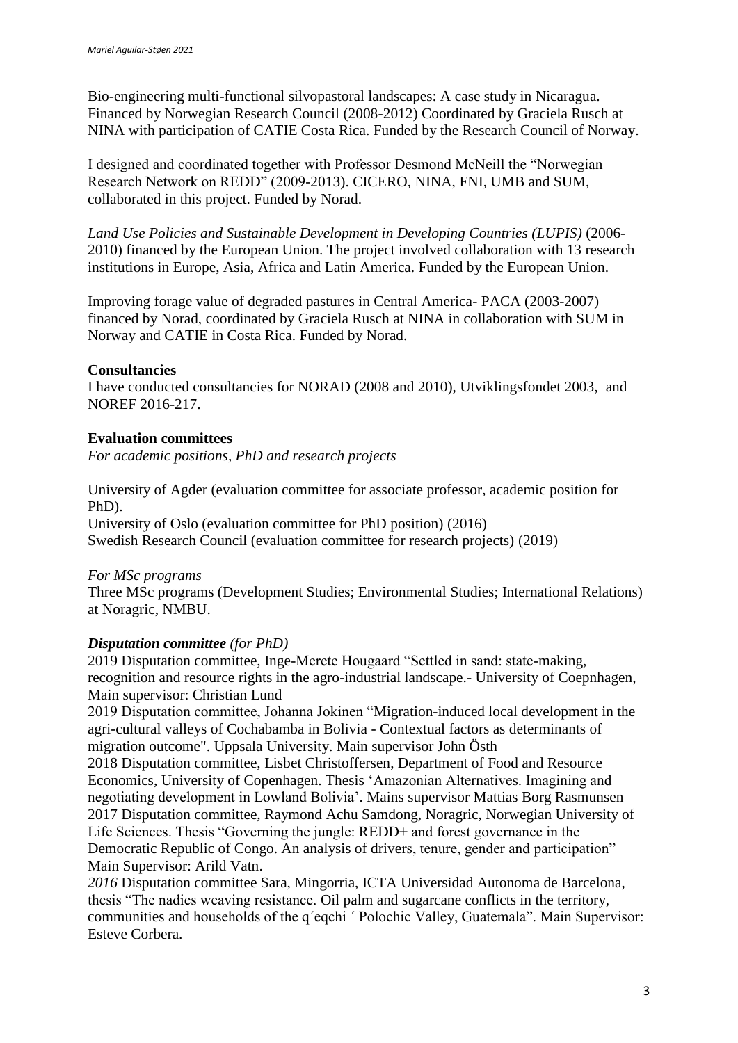Bio-engineering multi-functional silvopastoral landscapes: A case study in Nicaragua. Financed by Norwegian Research Council (2008-2012) Coordinated by Graciela Rusch at NINA with participation of CATIE Costa Rica. Funded by the Research Council of Norway.

I designed and coordinated together with Professor Desmond McNeill the "Norwegian Research Network on REDD" (2009-2013). CICERO, NINA, FNI, UMB and SUM, collaborated in this project. Funded by Norad.

*Land Use Policies and Sustainable Development in Developing Countries (LUPIS)* (2006- 2010) financed by the European Union. The project involved collaboration with 13 research institutions in Europe, Asia, Africa and Latin America. Funded by the European Union.

Improving forage value of degraded pastures in Central America- PACA (2003-2007) financed by Norad, coordinated by Graciela Rusch at NINA in collaboration with SUM in Norway and CATIE in Costa Rica. Funded by Norad.

### **Consultancies**

I have conducted consultancies for NORAD (2008 and 2010), Utviklingsfondet 2003, and NOREF 2016-217.

# **Evaluation committees**

*For academic positions, PhD and research projects*

University of Agder (evaluation committee for associate professor, academic position for PhD).

University of Oslo (evaluation committee for PhD position) (2016) Swedish Research Council (evaluation committee for research projects) (2019)

#### *For MSc programs*

Three MSc programs (Development Studies; Environmental Studies; International Relations) at Noragric, NMBU.

# *Disputation committee (for PhD)*

2019 Disputation committee, Inge-Merete Hougaard "Settled in sand: state-making, recognition and resource rights in the agro-industrial landscape.- University of Coepnhagen, Main supervisor: Christian Lund

2019 Disputation committee, Johanna Jokinen "Migration-induced local development in the agri-cultural valleys of Cochabamba in Bolivia - Contextual factors as determinants of migration outcome". Uppsala University. Main supervisor John Östh

2018 Disputation committee, Lisbet Christoffersen, Department of Food and Resource Economics, University of Copenhagen. Thesis 'Amazonian Alternatives. Imagining and negotiating development in Lowland Bolivia'. Mains supervisor Mattias Borg Rasmunsen 2017 Disputation committee, Raymond Achu Samdong, Noragric, Norwegian University of Life Sciences. Thesis "Governing the jungle: REDD+ and forest governance in the Democratic Republic of Congo. An analysis of drivers, tenure, gender and participation" Main Supervisor: Arild Vatn.

*2016* Disputation committee Sara, Mingorria, ICTA Universidad Autonoma de Barcelona, thesis "The nadies weaving resistance. Oil palm and sugarcane conflicts in the territory, communities and households of the q´eqchi ´ Polochic Valley, Guatemala". Main Supervisor: Esteve Corbera.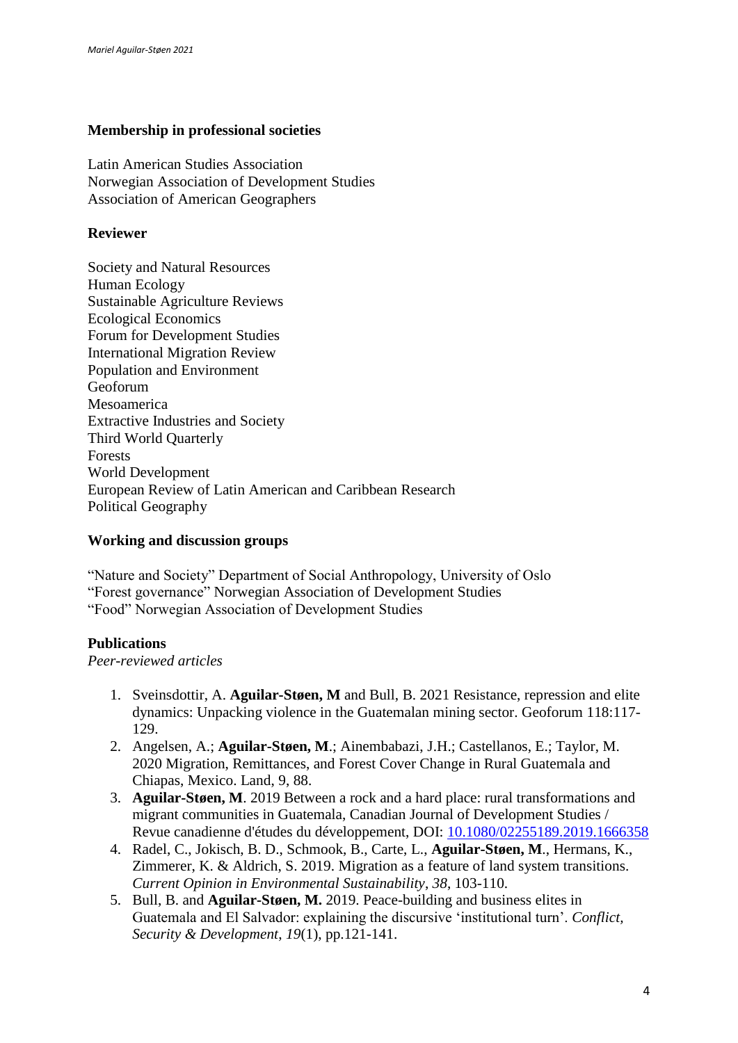### **Membership in professional societies**

Latin American Studies Association Norwegian Association of Development Studies Association of American Geographers

### **Reviewer**

Society and Natural Resources Human Ecology Sustainable Agriculture Reviews Ecological Economics Forum for Development Studies International Migration Review Population and Environment Geoforum Mesoamerica Extractive Industries and Society Third World Quarterly Forests World Development European Review of Latin American and Caribbean Research Political Geography

#### **Working and discussion groups**

"Nature and Society" Department of Social Anthropology, University of Oslo "Forest governance" Norwegian Association of Development Studies "Food" Norwegian Association of Development Studies

#### **Publications**

*Peer-reviewed articles*

- 1. Sveinsdottir, A. **Aguilar-Støen, M** and Bull, B. 2021 Resistance, repression and elite dynamics: Unpacking violence in the Guatemalan mining sector. Geoforum 118:117- 129.
- 2. Angelsen, A.; **Aguilar-Støen, M**.; Ainembabazi, J.H.; Castellanos, E.; Taylor, M. 2020 Migration, Remittances, and Forest Cover Change in Rural Guatemala and Chiapas, Mexico. Land, 9, 88.
- 3. **Aguilar-Støen, M**. 2019 Between a rock and a hard place: rural transformations and migrant communities in Guatemala, Canadian Journal of Development Studies / Revue canadienne d'études du développement, DOI: [10.1080/02255189.2019.1666358](https://doi.org/10.1080/02255189.2019.1666358)
- 4. Radel, C., Jokisch, B. D., Schmook, B., Carte, L., **Aguilar-Støen, M**., Hermans, K., Zimmerer, K. & Aldrich, S. 2019. Migration as a feature of land system transitions. *Current Opinion in Environmental Sustainability*, *38*, 103-110.
- 5. Bull, B. and **Aguilar-Støen, M.** 2019. Peace-building and business elites in Guatemala and El Salvador: explaining the discursive 'institutional turn'. *Conflict, Security & Development*, *19*(1), pp.121-141.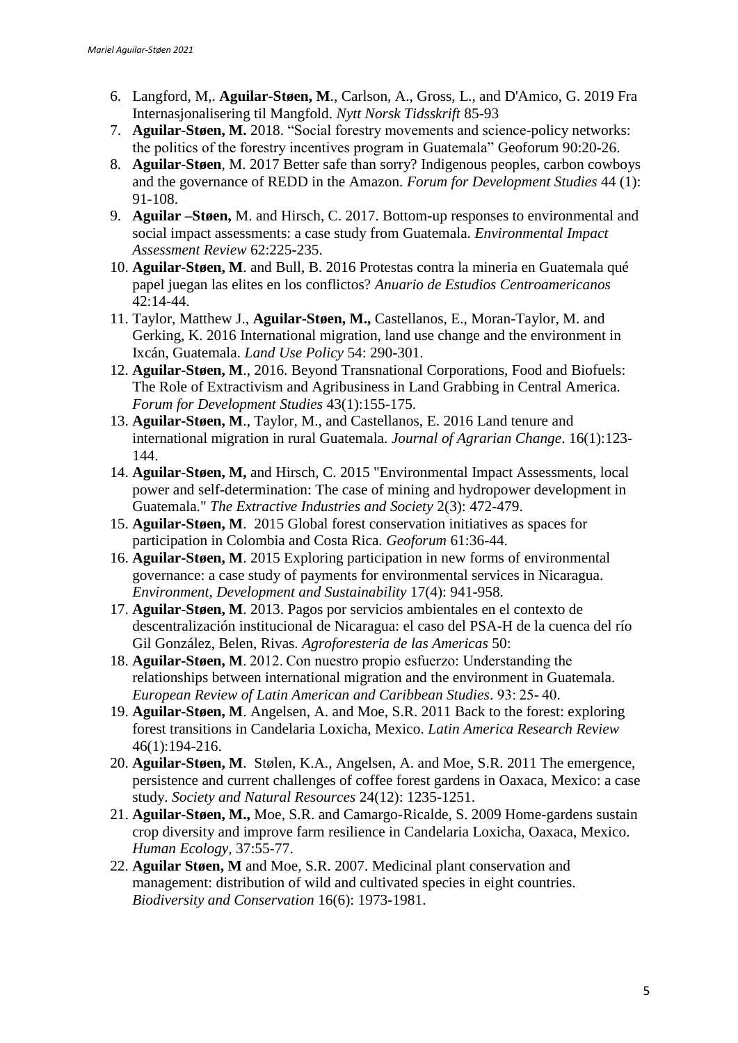- 6. Langford, M,. **Aguilar-Støen, M**., Carlson, A., Gross, L., and D'Amico, G. 2019 Fra Internasjonalisering til Mangfold. *Nytt Norsk Tidsskrift* 85-93
- 7. **Aguilar-Støen, M.** 2018. "Social forestry movements and science-policy networks: the politics of the forestry incentives program in Guatemala" Geoforum 90:20-26.
- 8. **Aguilar-Støen**, M. 2017 Better safe than sorry? Indigenous peoples, carbon cowboys and the governance of REDD in the Amazon. *Forum for Development Studies* 44 (1): 91-108.
- 9. **Aguilar –Støen,** M. and Hirsch, C. 2017. Bottom-up responses to environmental and social impact assessments: a case study from Guatemala. *Environmental Impact Assessment Review* 62:225-235.
- 10. **Aguilar-Støen, M**. and Bull, B. 2016 Protestas contra la mineria en Guatemala qué papel juegan las elites en los conflictos? *Anuario de Estudios Centroamericanos* 42:14-44.
- 11. Taylor, Matthew J., **Aguilar-Støen, M.,** Castellanos, E., Moran-Taylor, M. and Gerking, K. 2016 International migration, land use change and the environment in Ixcán, Guatemala. *Land Use Policy* 54: 290-301.
- 12. **Aguilar-Støen, M**., 2016. Beyond Transnational Corporations, Food and Biofuels: The Role of Extractivism and Agribusiness in Land Grabbing in Central America. *Forum for Development Studies* 43(1):155-175.
- 13. **Aguilar-Støen, M**., Taylor, M., and Castellanos, E. 2016 Land tenure and international migration in rural Guatemala. *Journal of Agrarian Change*. 16(1):123- 144.
- 14. **Aguilar-Støen, M,** and Hirsch, C. 2015 "Environmental Impact Assessments, local power and self-determination: The case of mining and hydropower development in Guatemala." *The Extractive Industries and Society* 2(3): 472-479.
- 15. **Aguilar-Støen, M**. 2015 Global forest conservation initiatives as spaces for participation in Colombia and Costa Rica. *Geoforum* 61:36-44.
- 16. **Aguilar-Støen, M**. 2015 Exploring participation in new forms of environmental governance: a case study of payments for environmental services in Nicaragua. *Environment, Development and Sustainability* 17(4): 941-958.
- 17. **Aguilar-Støen, M**. 2013. Pagos por servicios ambientales en el contexto de descentralización institucional de Nicaragua: el caso del PSA-H de la cuenca del río Gil González, Belen, Rivas. *Agroforesteria de las Americas* 50:
- 18. **Aguilar-Støen, M**. 2012. Con nuestro propio esfuerzo: Understanding the relationships between international migration and the environment in Guatemala. *[European Review of Latin American and Caribbean Studies](http://www.cedla.uva.nl/60_publications/european_review.html)*. 93: 25- 40.
- 19. **Aguilar-Støen, M**. Angelsen, A. and Moe, S.R. 2011 Back to the forest: exploring forest transitions in Candelaria Loxicha, Mexico. *Latin America Research Review* 46(1):194-216.
- 20. **Aguilar-Støen, M**. Stølen, K.A., Angelsen, A. and Moe, S.R. 2011 The emergence, persistence and current challenges of coffee forest gardens in Oaxaca, Mexico: a case study. *Society and Natural Resources* 24(12): 1235-1251.
- 21. **Aguilar-Støen, M.,** Moe, S.R. and Camargo-Ricalde, S. 2009 Home-gardens sustain crop diversity and improve farm resilience in Candelaria Loxicha, Oaxaca, Mexico. *Human Ecology,* 37:55-77.
- 22. **Aguilar Støen, M** and Moe, S.R. 2007. Medicinal plant conservation and management: distribution of wild and cultivated species in eight countries. *Biodiversity and Conservation* 16(6): 1973-1981.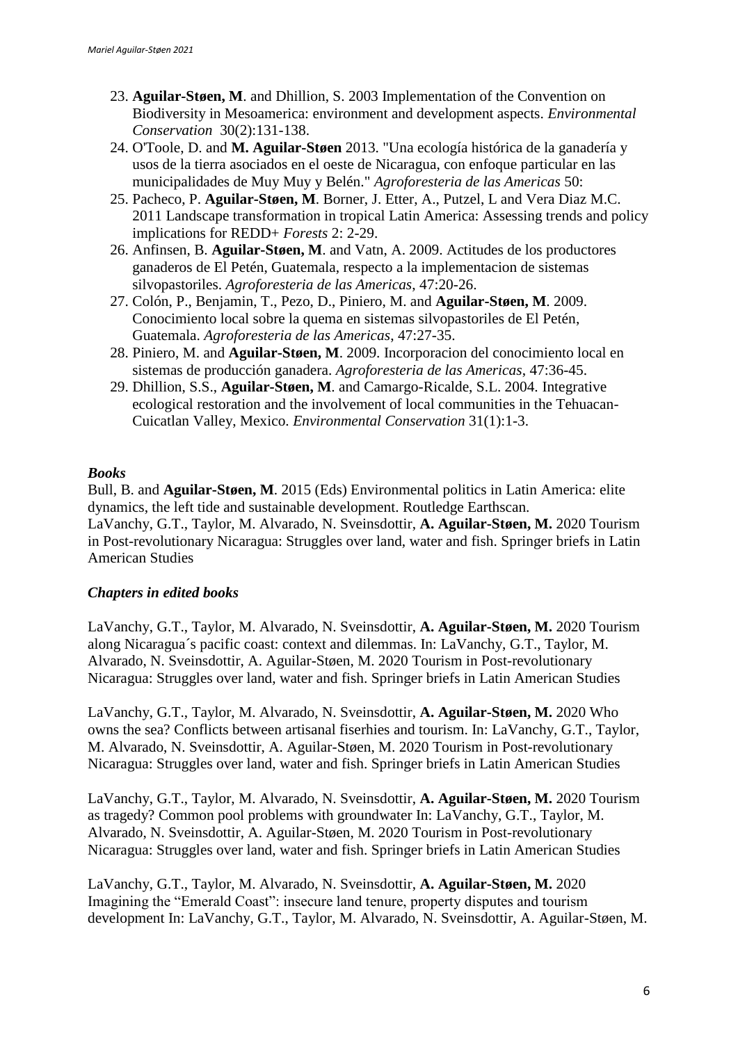- 23. **Aguilar-Støen, M**. and Dhillion, S. 2003 Implementation of the Convention on Biodiversity in Mesoamerica: environment and development aspects. *Environmental Conservation* 30(2):131-138.
- 24. O'Toole, D. and **M. Aguilar-Støen** 2013. "Una ecología histórica de la ganadería y usos de la tierra asociados en el oeste de Nicaragua, con enfoque particular en las municipalidades de Muy Muy y Belén." *Agroforesteria de las Americas* 50:
- 25. Pacheco, P. **Aguilar-Støen, M**. Borner, J. Etter, A., Putzel, L and Vera Diaz M.C. 2011 Landscape transformation in tropical Latin America: Assessing trends and policy implications for REDD+ *Forests* 2: 2-29.
- 26. Anfinsen, B. **Aguilar-Støen, M**. and Vatn, A. 2009. Actitudes de los productores ganaderos de El Petén, Guatemala, respecto a la implementacion de sistemas silvopastoriles. *Agroforesteria de las Americas*, 47:20-26.
- 27. Colón, P., Benjamin, T., Pezo, D., Piniero, M. and **Aguilar-Støen, M**. 2009. Conocimiento local sobre la quema en sistemas silvopastoriles de El Petén, Guatemala. *Agroforesteria de las Americas*, 47:27-35.
- 28. Piniero, M. and **Aguilar-Støen, M**. 2009. Incorporacion del conocimiento local en sistemas de producción ganadera. *Agroforesteria de las Americas*, 47:36-45.
- 29. Dhillion, S.S., **Aguilar-Støen, M**. and Camargo-Ricalde, S.L. 2004. Integrative ecological restoration and the involvement of local communities in the Tehuacan-Cuicatlan Valley, Mexico. *Environmental Conservation* 31(1):1-3.

# *Books*

Bull, B. and **Aguilar-Støen, M**. 2015 (Eds) Environmental politics in Latin America: elite dynamics, the left tide and sustainable development. Routledge Earthscan. LaVanchy, G.T., Taylor, M. Alvarado, N. Sveinsdottir, **A. Aguilar-Støen, M.** 2020 Tourism in Post-revolutionary Nicaragua: Struggles over land, water and fish. Springer briefs in Latin American Studies

# *Chapters in edited books*

LaVanchy, G.T., Taylor, M. Alvarado, N. Sveinsdottir, **A. Aguilar-Støen, M.** 2020 Tourism along Nicaragua´s pacific coast: context and dilemmas. In: LaVanchy, G.T., Taylor, M. Alvarado, N. Sveinsdottir, A. Aguilar-Støen, M. 2020 Tourism in Post-revolutionary Nicaragua: Struggles over land, water and fish. Springer briefs in Latin American Studies

LaVanchy, G.T., Taylor, M. Alvarado, N. Sveinsdottir, **A. Aguilar-Støen, M.** 2020 Who owns the sea? Conflicts between artisanal fiserhies and tourism. In: LaVanchy, G.T., Taylor, M. Alvarado, N. Sveinsdottir, A. Aguilar-Støen, M. 2020 Tourism in Post-revolutionary Nicaragua: Struggles over land, water and fish. Springer briefs in Latin American Studies

LaVanchy, G.T., Taylor, M. Alvarado, N. Sveinsdottir, **A. Aguilar-Støen, M.** 2020 Tourism as tragedy? Common pool problems with groundwater In: LaVanchy, G.T., Taylor, M. Alvarado, N. Sveinsdottir, A. Aguilar-Støen, M. 2020 Tourism in Post-revolutionary Nicaragua: Struggles over land, water and fish. Springer briefs in Latin American Studies

LaVanchy, G.T., Taylor, M. Alvarado, N. Sveinsdottir, **A. Aguilar-Støen, M.** 2020 Imagining the "Emerald Coast": insecure land tenure, property disputes and tourism development In: LaVanchy, G.T., Taylor, M. Alvarado, N. Sveinsdottir, A. Aguilar-Støen, M.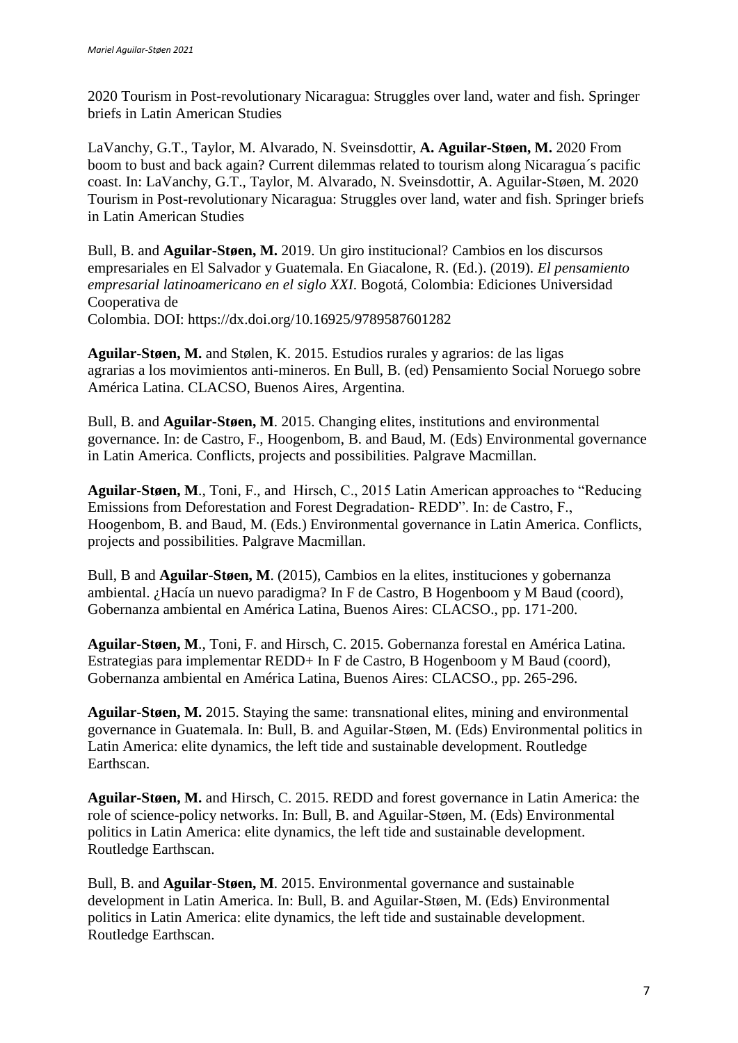2020 Tourism in Post-revolutionary Nicaragua: Struggles over land, water and fish. Springer briefs in Latin American Studies

LaVanchy, G.T., Taylor, M. Alvarado, N. Sveinsdottir, **A. Aguilar-Støen, M.** 2020 From boom to bust and back again? Current dilemmas related to tourism along Nicaragua´s pacific coast. In: LaVanchy, G.T., Taylor, M. Alvarado, N. Sveinsdottir, A. Aguilar-Støen, M. 2020 Tourism in Post-revolutionary Nicaragua: Struggles over land, water and fish. Springer briefs in Latin American Studies

Bull, B. and **Aguilar-Støen, M.** 2019. Un giro institucional? Cambios en los discursos empresariales en El Salvador y Guatemala. En Giacalone, R. (Ed.). (2019). *El pensamiento empresarial latinoamericano en el siglo XXI*. Bogotá, Colombia: Ediciones Universidad Cooperativa de Colombia. DOI: https://dx.doi.org/10.16925/9789587601282

**Aguilar-Støen, M.** and Stølen, K. 2015. Estudios rurales y agrarios: de las ligas agrarias a los movimientos anti-mineros. En Bull, B. (ed) Pensamiento Social Noruego sobre América Latina. CLACSO, Buenos Aires, Argentina.

Bull, B. and **Aguilar-Støen, M**. 2015. Changing elites, institutions and environmental governance. In: de Castro, F., Hoogenbom, B. and Baud, M. (Eds) Environmental governance in Latin America. Conflicts, projects and possibilities. Palgrave Macmillan.

**Aguilar-Støen, M**., Toni, F., and Hirsch, C., 2015 Latin American approaches to "Reducing Emissions from Deforestation and Forest Degradation- REDD". In: de Castro, F., Hoogenbom, B. and Baud, M. (Eds.) Environmental governance in Latin America. Conflicts, projects and possibilities. Palgrave Macmillan.

Bull, B and **Aguilar-Støen, M**. (2015), Cambios en la elites, instituciones y gobernanza ambiental. ¿Hacía un nuevo paradigma? In F de Castro, B Hogenboom y M Baud (coord), Gobernanza ambiental en América Latina, Buenos Aires: CLACSO., pp. 171-200.

**Aguilar-Støen, M**., Toni, F. and Hirsch, C. 2015. Gobernanza forestal en América Latina. Estrategias para implementar REDD+ In F de Castro, B Hogenboom y M Baud (coord), Gobernanza ambiental en América Latina, Buenos Aires: CLACSO., pp. 265-296.

**Aguilar-Støen, M.** 2015. Staying the same: transnational elites, mining and environmental governance in Guatemala. In: Bull, B. and Aguilar-Støen, M. (Eds) Environmental politics in Latin America: elite dynamics, the left tide and sustainable development. Routledge Earthscan.

**Aguilar-Støen, M.** and Hirsch, C. 2015. REDD and forest governance in Latin America: the role of science-policy networks. In: Bull, B. and Aguilar-Støen, M. (Eds) Environmental politics in Latin America: elite dynamics, the left tide and sustainable development. Routledge Earthscan.

Bull, B. and **Aguilar-Støen, M**. 2015. Environmental governance and sustainable development in Latin America. In: Bull, B. and Aguilar-Støen, M. (Eds) Environmental politics in Latin America: elite dynamics, the left tide and sustainable development. Routledge Earthscan.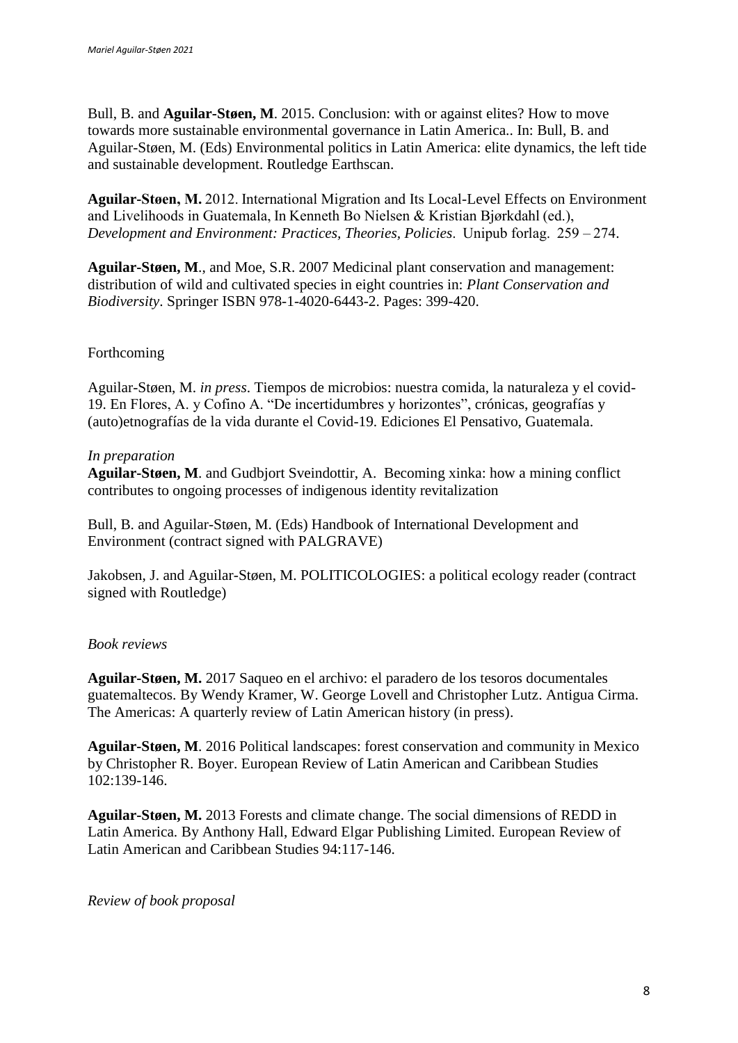Bull, B. and **Aguilar-Støen, M**. 2015. Conclusion: with or against elites? How to move towards more sustainable environmental governance in Latin America.. In: Bull, B. and Aguilar-Støen, M. (Eds) Environmental politics in Latin America: elite dynamics, the left tide and sustainable development. Routledge Earthscan.

**Aguilar-Støen, M.**2012. International Migration and Its Local-Level Effects on Environment and Livelihoods in Guatemala, In Kenneth Bo Nielsen & Kristian Bjørkdahl (ed.),  *Development and Environment: Practices, Theories, Policies*.  Unipub forlag.  259 – 274.

**Aguilar-Støen, M**., and Moe, S.R. 2007 Medicinal plant conservation and management: distribution of wild and cultivated species in eight countries in: *Plant Conservation and Biodiversity*. Springer ISBN 978-1-4020-6443-2. Pages: 399-420.

# Forthcoming

Aguilar-Støen, M. *in press*. Tiempos de microbios: nuestra comida, la naturaleza y el covid-19. En Flores, A. y Cofino A. "De incertidumbres y horizontes", crónicas, geografías y (auto)etnografías de la vida durante el Covid-19. Ediciones El Pensativo, Guatemala.

### *In preparation*

**Aguilar-Støen, M**. and Gudbjort Sveindottir, A. Becoming xinka: how a mining conflict contributes to ongoing processes of indigenous identity revitalization

Bull, B. and Aguilar-Støen, M. (Eds) Handbook of International Development and Environment (contract signed with PALGRAVE)

Jakobsen, J. and Aguilar-Støen, M. POLITICOLOGIES: a political ecology reader (contract signed with Routledge)

#### *Book reviews*

**Aguilar-Støen, M.** 2017 Saqueo en el archivo: el paradero de los tesoros documentales guatemaltecos. By Wendy Kramer, W. George Lovell and Christopher Lutz. Antigua Cirma. The Americas: A quarterly review of Latin American history (in press).

**Aguilar-Støen, M**. 2016 Political landscapes: forest conservation and community in Mexico by Christopher R. Boyer. European Review of Latin American and Caribbean Studies 102:139-146.

**Aguilar-Støen, M.** 2013 Forests and climate change. The social dimensions of REDD in Latin America. By Anthony Hall, Edward Elgar Publishing Limited. European Review of Latin American and Caribbean Studies 94:117-146.

#### *Review of book proposal*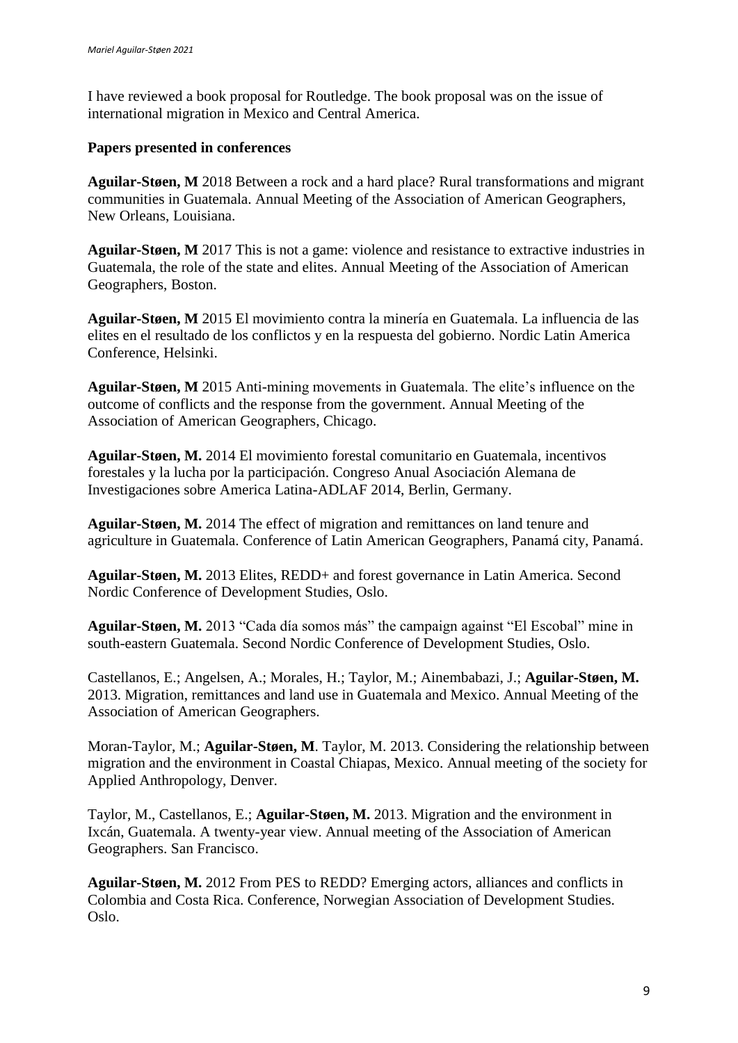I have reviewed a book proposal for Routledge. The book proposal was on the issue of international migration in Mexico and Central America.

### **Papers presented in conferences**

**Aguilar-Støen, M** 2018 Between a rock and a hard place? Rural transformations and migrant communities in Guatemala. Annual Meeting of the Association of American Geographers, New Orleans, Louisiana.

**Aguilar-Støen, M** 2017 This is not a game: violence and resistance to extractive industries in Guatemala, the role of the state and elites. Annual Meeting of the Association of American Geographers, Boston.

**Aguilar-Støen, M** 2015 El movimiento contra la minería en Guatemala. La influencia de las elites en el resultado de los conflictos y en la respuesta del gobierno. Nordic Latin America Conference, Helsinki.

**Aguilar-Støen, M** 2015 Anti-mining movements in Guatemala. The elite's influence on the outcome of conflicts and the response from the government. Annual Meeting of the Association of American Geographers, Chicago.

**Aguilar-Støen, M.** 2014 El movimiento forestal comunitario en Guatemala, incentivos forestales y la lucha por la participación. Congreso Anual Asociación Alemana de Investigaciones sobre America Latina-ADLAF 2014, Berlin, Germany.

**Aguilar-Støen, M.** 2014 The effect of migration and remittances on land tenure and agriculture in Guatemala. Conference of Latin American Geographers, Panamá city, Panamá.

**Aguilar-Støen, M.** 2013 Elites, REDD+ and forest governance in Latin America. Second Nordic Conference of Development Studies, Oslo.

**Aguilar-Støen, M.** 2013 "Cada día somos más" the campaign against "El Escobal" mine in south-eastern Guatemala. Second Nordic Conference of Development Studies, Oslo.

Castellanos, E.; Angelsen, A.; Morales, H.; Taylor, M.; Ainembabazi, J.; **Aguilar-Støen, M.**  2013. Migration, remittances and land use in Guatemala and Mexico. Annual Meeting of the Association of American Geographers.

Moran-Taylor, M.; **Aguilar-Støen, M**. Taylor, M. 2013. Considering the relationship between migration and the environment in Coastal Chiapas, Mexico. Annual meeting of the society for Applied Anthropology, Denver.

Taylor, M., Castellanos, E.; **Aguilar-Støen, M.** 2013. Migration and the environment in Ixcán, Guatemala. A twenty-year view. Annual meeting of the Association of American Geographers. San Francisco.

**Aguilar-Støen, M.** 2012 From PES to REDD? Emerging actors, alliances and conflicts in Colombia and Costa Rica. Conference, Norwegian Association of Development Studies. Oslo.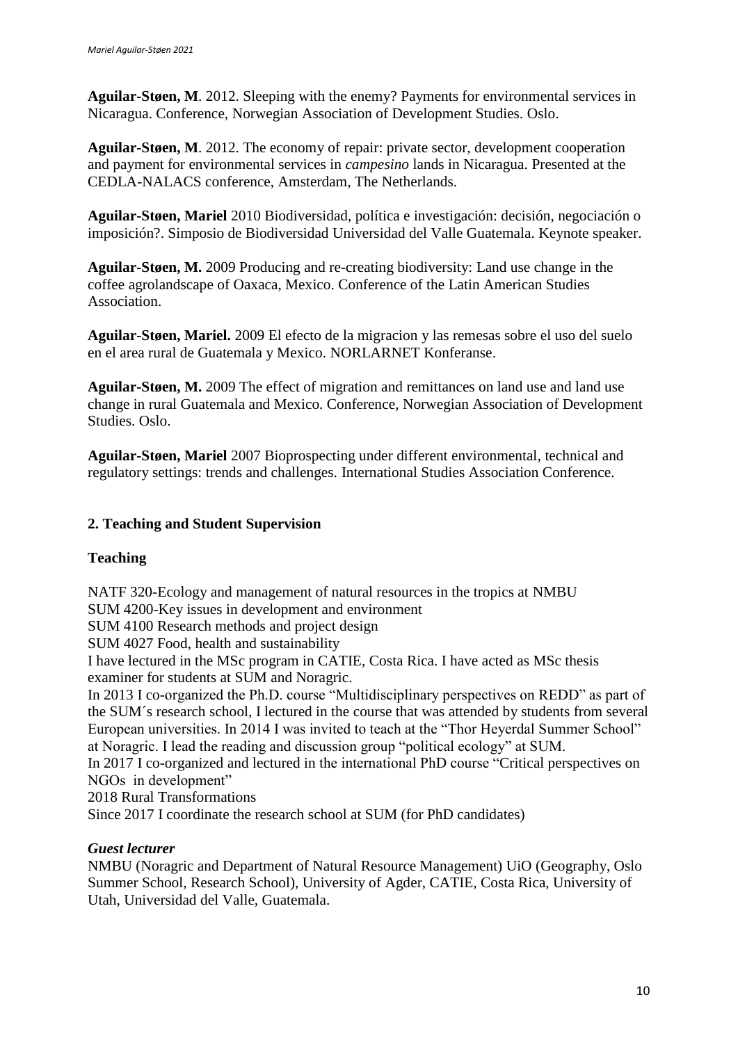**Aguilar-Støen, M**. 2012. Sleeping with the enemy? Payments for environmental services in Nicaragua. Conference, Norwegian Association of Development Studies. Oslo.

**Aguilar-Støen, M**. 2012. The economy of repair: private sector, development cooperation and payment for environmental services in *campesino* lands in Nicaragua. Presented at the CEDLA-NALACS conference, Amsterdam, The Netherlands.

**Aguilar-Støen, Mariel** 2010 Biodiversidad, política e investigación: decisión, negociación o imposición?. Simposio de Biodiversidad Universidad del Valle Guatemala. Keynote speaker.

**Aguilar-Støen, M.** 2009 Producing and re-creating biodiversity: Land use change in the coffee agrolandscape of Oaxaca, Mexico. Conference of the Latin American Studies Association.

**Aguilar-Støen, Mariel.** 2009 El efecto de la migracion y las remesas sobre el uso del suelo en el area rural de Guatemala y Mexico. NORLARNET Konferanse.

**Aguilar-Støen, M.** 2009 The effect of migration and remittances on land use and land use change in rural Guatemala and Mexico. Conference, Norwegian Association of Development Studies. Oslo.

**Aguilar-Støen, Mariel** 2007 Bioprospecting under different environmental, technical and regulatory settings: trends and challenges. International Studies Association Conference.

# **2. Teaching and Student Supervision**

# **Teaching**

NATF 320-Ecology and management of natural resources in the tropics at NMBU SUM 4200-Key issues in development and environment

SUM 4100 Research methods and project design

SUM 4027 Food, health and sustainability

I have lectured in the MSc program in CATIE, Costa Rica. I have acted as MSc thesis examiner for students at SUM and Noragric.

In 2013 I co-organized the Ph.D. course "Multidisciplinary perspectives on REDD" as part of the SUM´s research school, I lectured in the course that was attended by students from several European universities. In 2014 I was invited to teach at the "Thor Heyerdal Summer School" at Noragric. I lead the reading and discussion group "political ecology" at SUM.

In 2017 I co-organized and lectured in the international PhD course "Critical perspectives on NGOs in development"

2018 Rural Transformations

Since 2017 I coordinate the research school at SUM (for PhD candidates)

# *Guest lecturer*

NMBU (Noragric and Department of Natural Resource Management) UiO (Geography, Oslo Summer School, Research School), University of Agder, CATIE, Costa Rica, University of Utah, Universidad del Valle, Guatemala.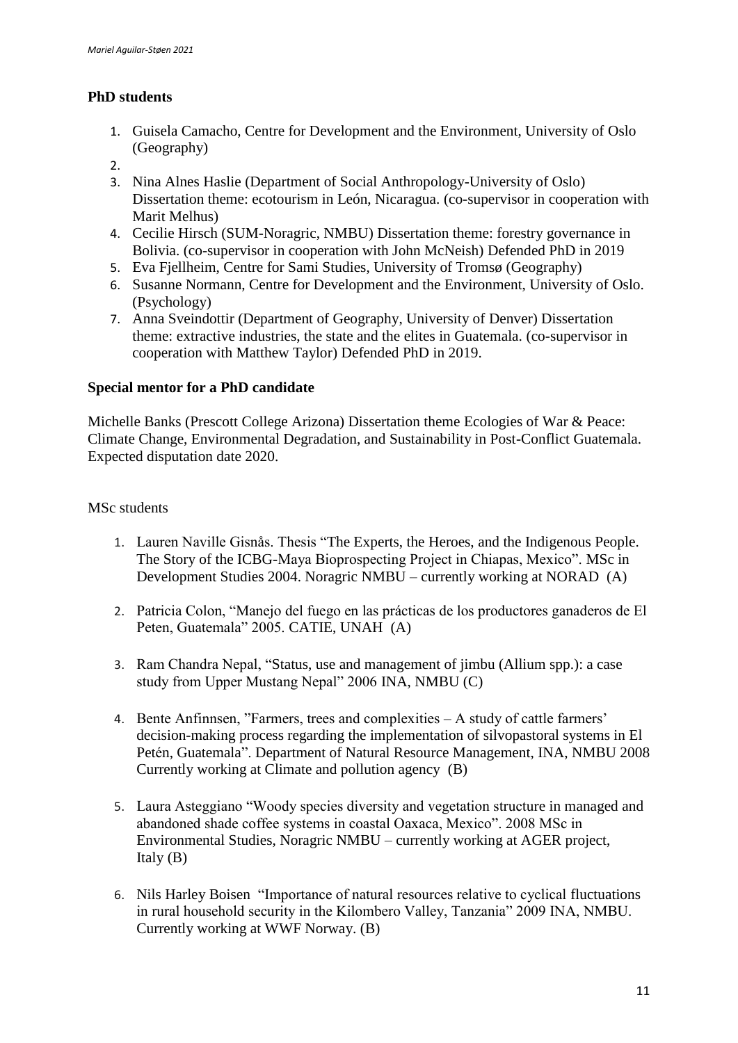# **PhD students**

- 1. Guisela Camacho, Centre for Development and the Environment, University of Oslo (Geography)
- 2.
- 3. Nina Alnes Haslie (Department of Social Anthropology-University of Oslo) Dissertation theme: ecotourism in León, Nicaragua. (co-supervisor in cooperation with Marit Melhus)
- 4. Cecilie Hirsch (SUM-Noragric, NMBU) Dissertation theme: forestry governance in Bolivia. (co-supervisor in cooperation with John McNeish) Defended PhD in 2019
- 5. Eva Fjellheim, Centre for Sami Studies, University of Tromsø (Geography)
- 6. Susanne Normann, Centre for Development and the Environment, University of Oslo. (Psychology)
- 7. Anna Sveindottir (Department of Geography, University of Denver) Dissertation theme: extractive industries, the state and the elites in Guatemala. (co-supervisor in cooperation with Matthew Taylor) Defended PhD in 2019.

# **Special mentor for a PhD candidate**

Michelle Banks (Prescott College Arizona) Dissertation theme Ecologies of War & Peace: Climate Change, Environmental Degradation, and Sustainability in Post-Conflict Guatemala. Expected disputation date 2020.

# MSc students

- 1. Lauren Naville Gisnås. Thesis "The Experts, the Heroes, and the Indigenous People. The Story of the ICBG-Maya Bioprospecting Project in Chiapas, Mexico". MSc in Development Studies 2004. Noragric NMBU – currently working at NORAD (A)
- 2. Patricia Colon, "Manejo del fuego en las prácticas de los productores ganaderos de El Peten, Guatemala" 2005. CATIE, UNAH (A)
- 3. Ram Chandra Nepal, "Status, use and management of jimbu (Allium spp.): a case study from Upper Mustang Nepal" 2006 INA, NMBU (C)
- 4. Bente Anfinnsen, "Farmers, trees and complexities A study of cattle farmers' decision-making process regarding the implementation of silvopastoral systems in El Petén, Guatemala". Department of Natural Resource Management, INA, NMBU 2008 Currently working at Climate and pollution agency (B)
- 5. Laura Asteggiano "Woody species diversity and vegetation structure in managed and abandoned shade coffee systems in coastal Oaxaca, Mexico". 2008 MSc in Environmental Studies, Noragric NMBU – currently working at AGER project, Italy (B)
- 6. Nils Harley Boisen "Importance of natural resources relative to cyclical fluctuations in rural household security in the Kilombero Valley, Tanzania" 2009 INA, NMBU. Currently working at WWF Norway. (B)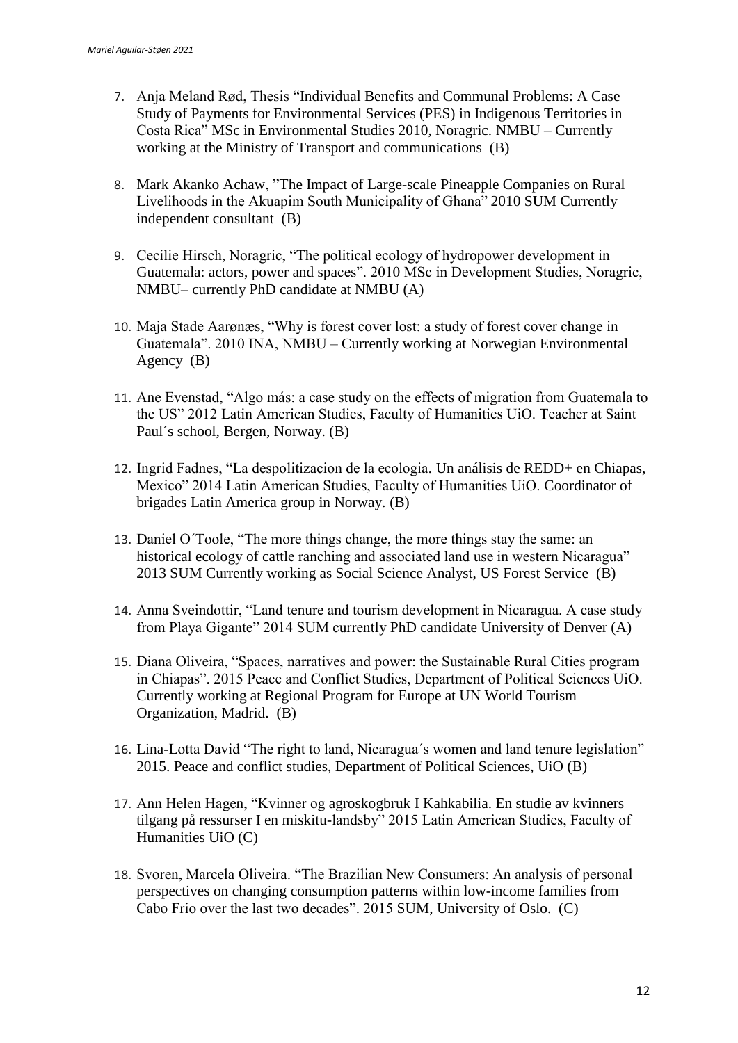- 7. Anja Meland Rød, Thesis "Individual Benefits and Communal Problems: A Case Study of Payments for Environmental Services (PES) in Indigenous Territories in Costa Rica" MSc in Environmental Studies 2010, Noragric. NMBU – Currently working at the Ministry of Transport and communications (B)
- 8. Mark Akanko Achaw, "The Impact of [Large-scale Pineapple Companies on Rural](https://www.duo.uio.no/handle/10852/32604)  [Livelihoods in the Akuapim South Municipality of Ghana" 2](https://www.duo.uio.no/handle/10852/32604)010 SUM Currently independent consultant (B)
- 9. Cecilie Hirsch, Noragric, "The political ecology of hydropower development in Guatemala: actors, power and spaces". 2010 MSc in Development Studies, Noragric, NMBU– currently PhD candidate at NMBU (A)
- 10. Maja Stade Aarønæs, "Why is forest cover lost: a study of forest cover change in Guatemala". 2010 INA, NMBU – Currently working at Norwegian Environmental Agency (B)
- 11. Ane Evenstad, "Algo más: a case study on the effects of migration from Guatemala to the US" 2012 Latin American Studies, Faculty of Humanities UiO. Teacher at Saint Paul´s school, Bergen, Norway. (B)
- 12. Ingrid Fadnes, "La despolitizacion de la ecologia. Un análisis de REDD+ en Chiapas, Mexico" 2014 Latin American Studies, Faculty of Humanities UiO. Coordinator of brigades Latin America group in Norway. (B)
- 13. Daniel O´Toole, "The more things change, the more things stay the same: an historical ecology of cattle ranching and associated land use in western Nicaragua" 2013 SUM Currently working as Social Science Analyst, US Forest Service (B)
- 14. Anna Sveindottir, "Land tenure and tourism development in Nicaragua. A case study from Playa Gigante" 2014 SUM currently PhD candidate University of Denver (A)
- 15. Diana Oliveira, "Spaces, narratives and power: the Sustainable Rural Cities program in Chiapas". 2015 Peace and Conflict Studies, Department of Political Sciences UiO. Currently working at Regional Program for Europe at UN World Tourism Organization, Madrid. (B)
- 16. Lina-Lotta David "The right to land, Nicaragua´s women and land tenure legislation" 2015. Peace and conflict studies, Department of Political Sciences, UiO (B)
- 17. Ann Helen Hagen, "Kvinner og agroskogbruk I Kahkabilia. En studie av kvinners tilgang på ressurser I en miskitu-landsby" 2015 Latin American Studies, Faculty of Humanities UiO (C)
- 18. Svoren, Marcela Oliveira. "The Brazilian New Consumers: An analysis of personal perspectives on changing consumption patterns within low-income families from Cabo Frio over the last two decades". 2015 SUM, University of Oslo. (C)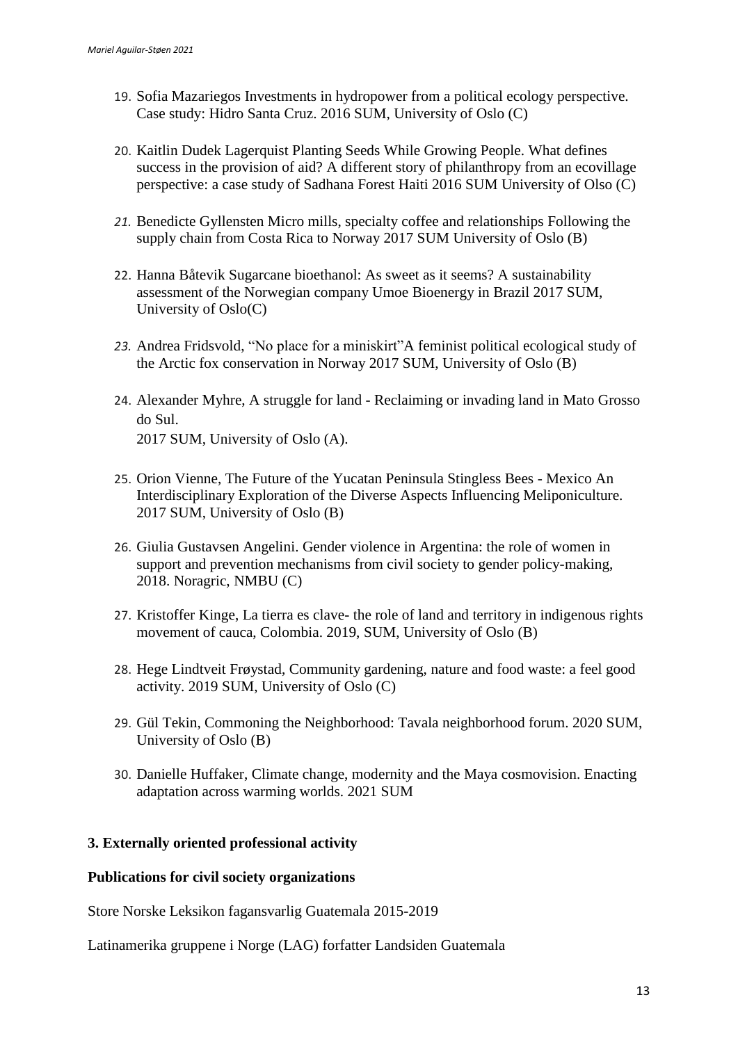- 19. Sofia Mazariegos Investments in hydropower from a political ecology perspective. Case study: Hidro Santa Cruz. 2016 SUM, University of Oslo (C)
- 20. Kaitlin Dudek Lagerquist Planting Seeds While Growing People. What defines success in the provision of aid? A different story of philanthropy from an ecovillage perspective: a case study of Sadhana Forest Haiti 2016 SUM University of Olso (C)
- *21.* Benedicte Gyllensten Micro mills, specialty coffee and relationships Following the supply chain from Costa Rica to Norway 2017 SUM University of Oslo (B)
- 22. Hanna Båtevik Sugarcane bioethanol: As sweet as it seems? A sustainability assessment of the Norwegian company Umoe Bioenergy in Brazil 2017 SUM, University of Oslo(C)
- *23.* Andrea Fridsvold, "No place for a miniskirt"A feminist political ecological study of the Arctic fox conservation in Norway 2017 SUM, University of Oslo (B)
- 24. Alexander Myhre, A struggle for land Reclaiming or invading land in Mato Grosso do Sul. 2017 SUM, University of Oslo (A).
- 25. Orion Vienne, The Future of the Yucatan Peninsula Stingless Bees Mexico An Interdisciplinary Exploration of the Diverse Aspects Influencing Meliponiculture. 2017 SUM, University of Oslo (B)
- 26. Giulia Gustavsen Angelini. Gender violence in Argentina: the role of women in support and prevention mechanisms from civil society to gender policy-making, 2018. Noragric, NMBU (C)
- 27. Kristoffer Kinge, La tierra es clave- the role of land and territory in indigenous rights movement of cauca, Colombia. 2019, SUM, University of Oslo (B)
- 28. Hege Lindtveit Frøystad, Community gardening, nature and food waste: a feel good activity. 2019 SUM, University of Oslo (C)
- 29. Gül Tekin, Commoning the Neighborhood: Tavala neighborhood forum. 2020 SUM, University of Oslo (B)
- 30. Danielle Huffaker, Climate change, modernity and the Maya cosmovision. Enacting adaptation across warming worlds. 2021 SUM

# **3. Externally oriented professional activity**

# **Publications for civil society organizations**

Store Norske Leksikon fagansvarlig Guatemala 2015-2019

Latinamerika gruppene i Norge (LAG) forfatter Landsiden Guatemala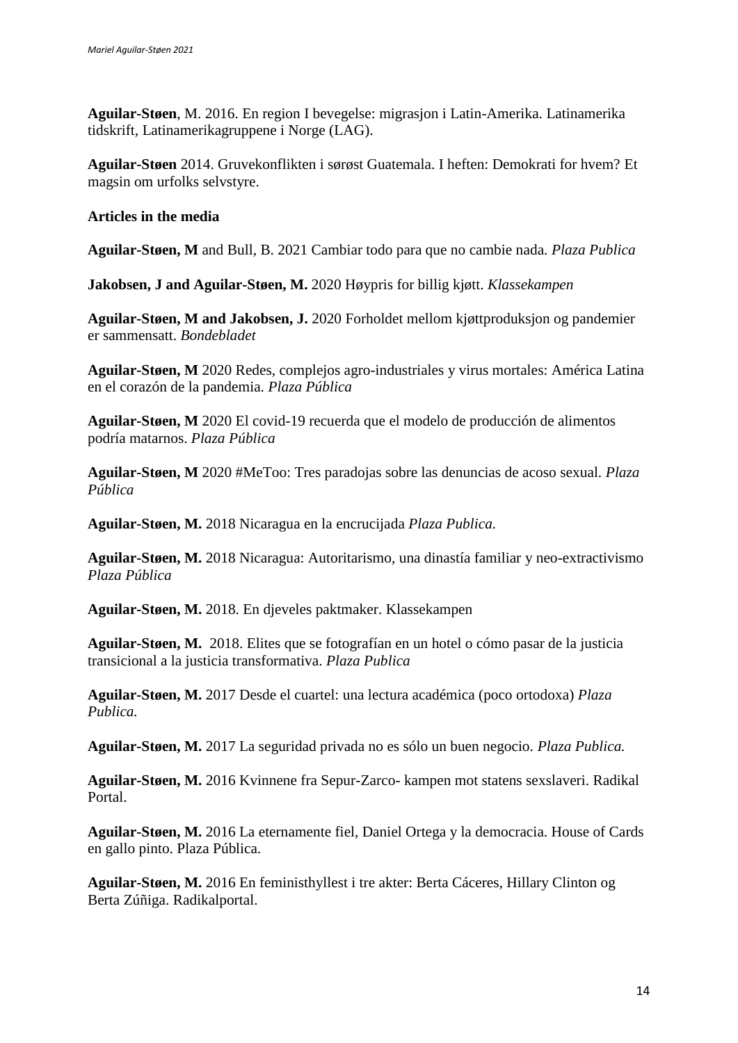**Aguilar-Støen**, M. 2016. En region I bevegelse: migrasjon i Latin-Amerika. Latinamerika tidskrift, Latinamerikagruppene i Norge (LAG).

**Aguilar-Støen** 2014. Gruvekonflikten i sørøst Guatemala. I heften: Demokrati for hvem? Et magsin om urfolks selvstyre.

# **Articles in the media**

**Aguilar-Støen, M** and Bull, B. 2021 Cambiar todo para que no cambie nada. *Plaza Publica* 

**Jakobsen, J and Aguilar-Støen, M.** 2020 Høypris for billig kjøtt. *Klassekampen*

**Aguilar-Støen, M and Jakobsen, J.** 2020 Forholdet mellom kjøttproduksjon og pandemier er sammensatt. *Bondebladet* 

**Aguilar-Støen, M** 2020 Redes, complejos agro-industriales y virus mortales: América Latina en el corazón de la pandemia. *Plaza Pública*

**Aguilar-Støen, M** 2020 El covid-19 recuerda que el modelo de producción de alimentos podría matarnos. *Plaza Pública*

**Aguilar-Støen, M** 2020 #MeToo: Tres paradojas sobre las denuncias de acoso sexual. *Plaza Pública*

**Aguilar-Støen, M.** 2018 Nicaragua en la encrucijada *Plaza Publica.*

**Aguilar-Støen, M.** 2018 Nicaragua: Autoritarismo, una dinastía familiar y neo-extractivismo *Plaza Pública*

**Aguilar-Støen, M.** 2018. En djeveles paktmaker. Klassekampen

**Aguilar-Støen, M.** 2018. Elites que se fotografían en un hotel o cómo pasar de la justicia transicional a la justicia transformativa. *Plaza Publica*

**Aguilar-Støen, M.** 2017 Desde el cuartel: una lectura académica (poco ortodoxa) *Plaza Publica.*

**Aguilar-Støen, M.** 2017 La seguridad privada no es sólo un buen negocio. *Plaza Publica.*

**Aguilar-Støen, M.** 2016 Kvinnene fra Sepur-Zarco- kampen mot statens sexslaveri. Radikal Portal.

**Aguilar-Støen, M.** 2016 La eternamente fiel, Daniel Ortega y la democracia. House of Cards en gallo pinto. Plaza Pública.

**Aguilar-Støen, M.** 2016 En feministhyllest i tre akter: Berta Cáceres, Hillary Clinton og Berta Zúñiga. Radikalportal.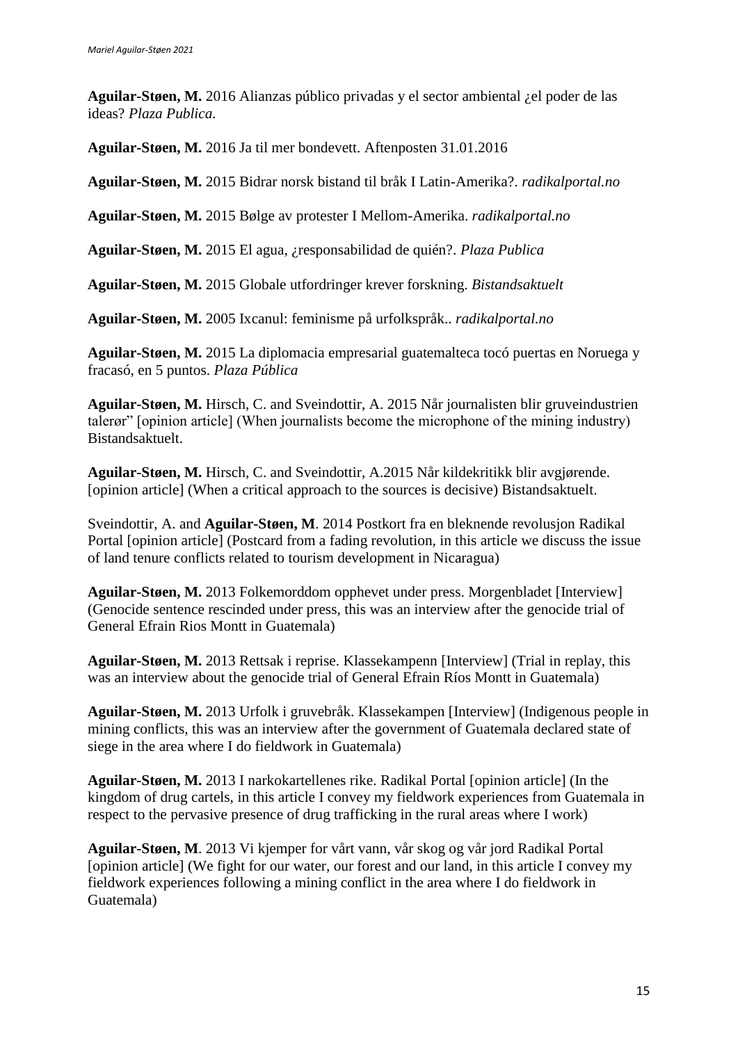**Aguilar-Støen, M.** 2016 Alianzas público privadas y el sector ambiental ¿el poder de las ideas? *Plaza Publica.*

**Aguilar-Støen, M.** 2016 Ja til mer bondevett. Aftenposten 31.01.2016

**Aguilar-Støen, M.** 2015 Bidrar norsk bistand til bråk I Latin-Amerika?. *radikalportal.no*

**Aguilar-Støen, M.** 2015 Bølge av protester I Mellom-Amerika. *radikalportal.no*

**Aguilar-Støen, M.** 2015 El agua, ¿responsabilidad de quién?. *Plaza Publica*

**Aguilar-Støen, M.** 2015 Globale utfordringer krever forskning. *Bistandsaktuelt*

**Aguilar-Støen, M.** 2005 Ixcanul: feminisme på urfolkspråk.. *radikalportal.no*

**Aguilar-Støen, M.** 2015 La diplomacia empresarial guatemalteca tocó puertas en Noruega y fracasó, en 5 puntos. *Plaza Pública*

**Aguilar-Støen, M.** Hirsch, C. and Sveindottir, A. 2015 Når journalisten blir gruveindustrien talerør" [opinion article] (When journalists become the microphone of the mining industry) Bistandsaktuelt.

**Aguilar-Støen, M.** Hirsch, C. and Sveindottir, A.2015 Når kildekritikk blir avgjørende. [opinion article] (When a critical approach to the sources is decisive) Bistandsaktuelt.

Sveindottir, A. and **Aguilar-Støen, M**. 2014 Postkort fra en bleknende revolusjon Radikal Portal [opinion article] (Postcard from a fading revolution, in this article we discuss the issue of land tenure conflicts related to tourism development in Nicaragua)

**Aguilar-Støen, M.** 2013 Folkemorddom opphevet under press. Morgenbladet [Interview] (Genocide sentence rescinded under press, this was an interview after the genocide trial of General Efrain Rios Montt in Guatemala)

**Aguilar-Støen, M.** 2013 Rettsak i reprise. Klassekampenn [Interview] (Trial in replay, this was an interview about the genocide trial of General Efrain Ríos Montt in Guatemala)

**Aguilar-Støen, M.** 2013 Urfolk i gruvebråk. Klassekampen [Interview] (Indigenous people in mining conflicts, this was an interview after the government of Guatemala declared state of siege in the area where I do fieldwork in Guatemala)

**Aguilar-Støen, M.** 2013 I narkokartellenes rike. Radikal Portal [opinion article] (In the kingdom of drug cartels, in this article I convey my fieldwork experiences from Guatemala in respect to the pervasive presence of drug trafficking in the rural areas where I work)

**Aguilar-Støen, M**. 2013 Vi kjemper for vårt vann, vår skog og vår jord Radikal Portal [opinion article] (We fight for our water, our forest and our land, in this article I convey my fieldwork experiences following a mining conflict in the area where I do fieldwork in Guatemala)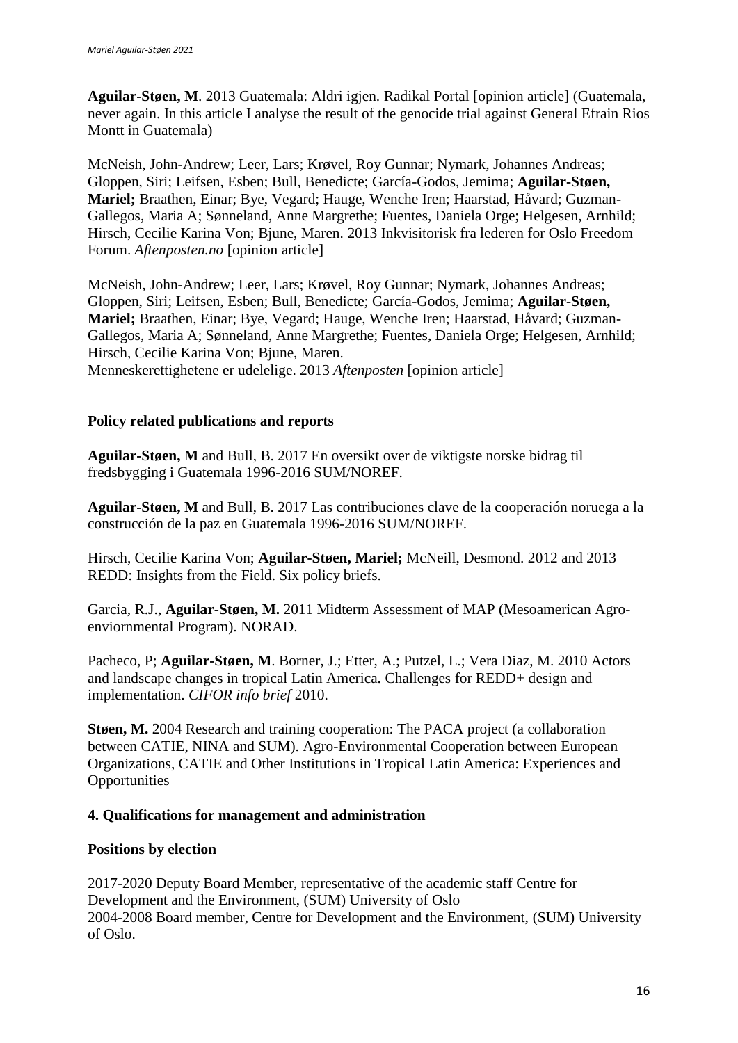**Aguilar-Støen, M**. 2013 Guatemala: Aldri igjen. Radikal Portal [opinion article] (Guatemala, never again. In this article I analyse the result of the genocide trial against General Efrain Rios Montt in Guatemala)

McNeish, John-Andrew; Leer, Lars; Krøvel, Roy Gunnar; Nymark, Johannes Andreas; Gloppen, Siri; Leifsen, Esben; Bull, Benedicte; García-Godos, Jemima; **Aguilar-Støen, Mariel;** Braathen, Einar; Bye, Vegard; Hauge, Wenche Iren; Haarstad, Håvard; Guzman-Gallegos, Maria A; Sønneland, Anne Margrethe; Fuentes, Daniela Orge; Helgesen, Arnhild; Hirsch, Cecilie Karina Von; Bjune, Maren. 2013 Inkvisitorisk fra lederen for Oslo Freedom Forum. *Aftenposten.no* [opinion article]

McNeish, John-Andrew; Leer, Lars; Krøvel, Roy Gunnar; Nymark, Johannes Andreas; Gloppen, Siri; Leifsen, Esben; Bull, Benedicte; García-Godos, Jemima; **Aguilar-Støen, Mariel;** Braathen, Einar; Bye, Vegard; Hauge, Wenche Iren; Haarstad, Håvard; Guzman-Gallegos, Maria A; Sønneland, Anne Margrethe; Fuentes, Daniela Orge; Helgesen, Arnhild; Hirsch, Cecilie Karina Von; Bjune, Maren. Menneskerettighetene er udelelige. 2013 *Aftenposten* [opinion article]

# **Policy related publications and reports**

**Aguilar-Støen, M** and Bull, B. 2017 En oversikt over de viktigste norske bidrag til fredsbygging i Guatemala 1996-2016 SUM/NOREF.

**Aguilar-Støen, M** and Bull, B. 2017 Las contribuciones clave de la cooperación noruega a la construcción de la paz en Guatemala 1996-2016 SUM/NOREF.

Hirsch, Cecilie Karina Von; **Aguilar-Støen, Mariel;** McNeill, Desmond. 2012 and 2013 REDD: Insights from the Field. Six policy briefs.

Garcia, R.J., **Aguilar-Støen, M.** 2011 Midterm Assessment of MAP (Mesoamerican Agroenviornmental Program). NORAD.

Pacheco, P; **Aguilar-Støen, M**. Borner, J.; Etter, A.; Putzel, L.; Vera Diaz, M. 2010 Actors and landscape changes in tropical Latin America. Challenges for REDD+ design and implementation. *CIFOR info brief* 2010.

**Støen, M.** 2004 Research and training cooperation: The PACA project (a collaboration between CATIE, NINA and SUM). Agro-Environmental Cooperation between European Organizations, CATIE and Other Institutions in Tropical Latin America: Experiences and **Opportunities** 

#### **4. Qualifications for management and administration**

# **Positions by election**

2017-2020 Deputy Board Member, representative of the academic staff Centre for Development and the Environment, (SUM) University of Oslo 2004-2008 Board member, Centre for Development and the Environment, (SUM) University of Oslo.